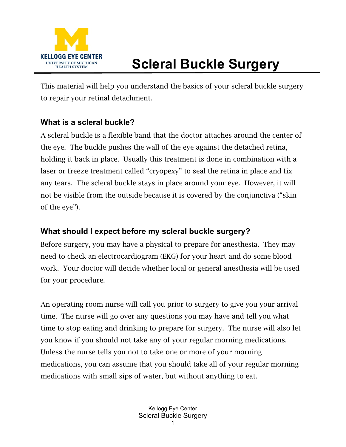

# **Scleral Buckle Surgery**

This material will help you understand the basics of your scleral buckle surgery to repair your retinal detachment.

### **What is a scleral buckle?**

A scleral buckle is a flexible band that the doctor attaches around the center of the eye. The buckle pushes the wall of the eye against the detached retina, holding it back in place. Usually this treatment is done in combination with a laser or freeze treatment called "cryopexy" to seal the retina in place and fix any tears. The scleral buckle stays in place around your eye. However, it will not be visible from the outside because it is covered by the conjunctiva ("skin of the eye").

### **What should I expect before my scleral buckle surgery?**

Before surgery, you may have a physical to prepare for anesthesia. They may need to check an electrocardiogram (EKG) for your heart and do some blood work. Your doctor will decide whether local or general anesthesia will be used for your procedure.

An operating room nurse will call you prior to surgery to give you your arrival time. The nurse will go over any questions you may have and tell you what time to stop eating and drinking to prepare for surgery. The nurse will also let you know if you should not take any of your regular morning medications. Unless the nurse tells you not to take one or more of your morning medications, you can assume that you should take all of your regular morning medications with small sips of water, but without anything to eat.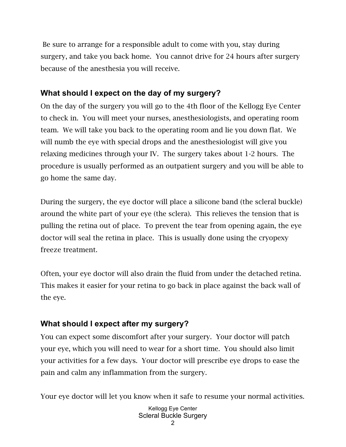Be sure to arrange for a responsible adult to come with you, stay during surgery, and take you back home. You cannot drive for 24 hours after surgery because of the anesthesia you will receive.

## **What should I expect on the day of my surgery?**

On the day of the surgery you will go to the 4th floor of the Kellogg Eye Center to check in. You will meet your nurses, anesthesiologists, and operating room team. We will take you back to the operating room and lie you down flat. We will numb the eye with special drops and the anesthesiologist will give you relaxing medicines through your IV. The surgery takes about 1-2 hours. The procedure is usually performed as an outpatient surgery and you will be able to go home the same day.

During the surgery, the eye doctor will place a silicone band (the scleral buckle) around the white part of your eye (the sclera). This relieves the tension that is pulling the retina out of place. To prevent the tear from opening again, the eye doctor will seal the retina in place. This is usually done using the cryopexy freeze treatment.

Often, your eye doctor will also drain the fluid from under the detached retina. This makes it easier for your retina to go back in place against the back wall of the eye.

## **What should I expect after my surgery?**

You can expect some discomfort after your surgery. Your doctor will patch your eye, which you will need to wear for a short time. You should also limit your activities for a few days. Your doctor will prescribe eye drops to ease the pain and calm any inflammation from the surgery.

Your eye doctor will let you know when it safe to resume your normal activities.